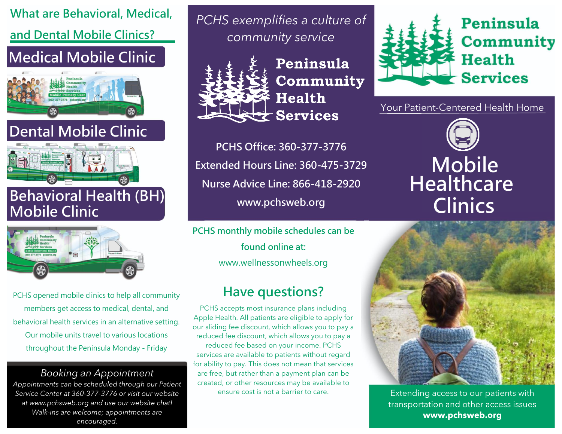## **What are Behavioral, Medical, and Dental Mobile Clinics?**

### **Medical Mobile Clinic**



# **Dental Mobile Clinic**



#### **Behavioral Health (BH) Mobile Clinic**



PCHS opened mobile clinics to help all community members get access to medical, dental, and behavioral health services in an alternative setting. Our mobile units travel to various locations throughout the Peninsula Monday - Friday

#### *Booking an Appointment*

*Appointments can be scheduled through our Patient Service Center at 360-377-3776 or visit our website at www.pchsweb.org and use our website chat! Walk-ins are welcome; appointments are encouraged.*

*PCHS exemplifies a culture of community service*



Peninsula Community **Health Services** 

**PCHS Office: 360-377-3776 Extended Hours Line: 360-475-3729 Nurse Advice Line: 866-418-2920 www.pchsweb.org**

**PCHS monthly mobile schedules can be found online at:**  www.wellnessonwheels.org

### **Have questions?**

PCHS accepts most insurance plans including Apple Health. All patients are eligible to apply for our sliding fee discount, which allows you to pay a reduced fee discount, which allows you to pay a reduced fee based on your income. PCHS services are available to patients without regard for ability to pay. This does not mean that services are free, but rather than a payment plan can be created, or other resources may be available to ensure cost is not a barrier to care.



Your Patient-Centered Health Home

# **Mobile Healthcare Clinics**



Extending access to our patients with transportation and other access issues **www.pchsweb.org**